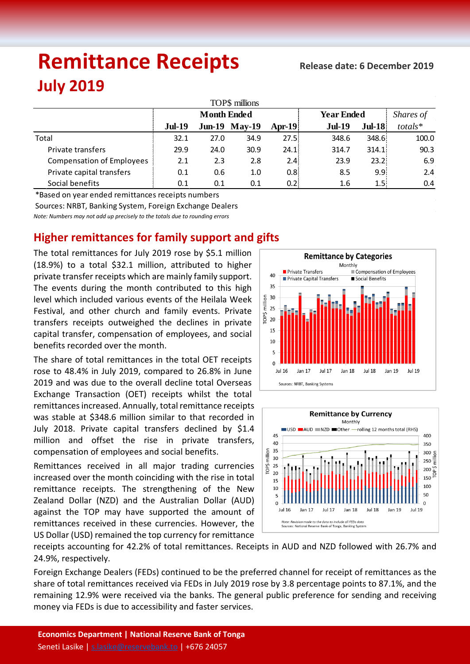# **Remittance Receipts July 2019**

| TOP\$ millions                   |                    |      |                      |                  |                   |                  |               |  |  |  |  |  |
|----------------------------------|--------------------|------|----------------------|------------------|-------------------|------------------|---------------|--|--|--|--|--|
|                                  | <b>Month Ended</b> |      |                      |                  | <b>Year Ended</b> |                  | Shares of     |  |  |  |  |  |
|                                  | <b>Jul-19</b>      |      | <b>Jun-19 May-19</b> | Apr-19 $\vert$   | <b>Jul-19</b>     | $Jul-18$         | $totals*$     |  |  |  |  |  |
| Total                            | 32.1               | 27.0 | 34.9                 | 27.5:            | 348.6             | 348.6            | 100.0         |  |  |  |  |  |
| Private transfers                | 29.9               | 24.0 | 30.9                 | 24.1:            | 314.7             | 314.1            | 90.3          |  |  |  |  |  |
| <b>Compensation of Employees</b> | 2.1                | 2.3  | 2.8                  | 2.4 <sub>i</sub> | 23.9              | 23.2             | 6.9           |  |  |  |  |  |
| Private capital transfers        | 0.1                | 0.6  | 1.0                  | 0.8 <sub>i</sub> | 8.5               | 9.9              | 2.4           |  |  |  |  |  |
| Social benefits                  | 0.1                | 0.1  | 0.1                  | 0.2 <sup>1</sup> | 1.6               | 1.5 <sub>1</sub> | $0.4^{\circ}$ |  |  |  |  |  |

\*Based on year ended remittances receipts numbers

Sources: NRBT, Banking System, Foreign Exchange Dealers

*Note: Numbers may not add up precisely to the totals due to rounding errors*

## **Higher remittances for family support and gifts**

The total remittances for July 2019 rose by \$5.1 million (18.9%) to a total \$32.1 million, attributed to higher private transfer receipts which are mainly family support. The events during the month contributed to this high level which included various events of the Heilala Week Festival, and other church and family events. Private transfers receipts outweighed the declines in private capital transfer, compensation of employees, and social benefits recorded over the month.

The share of total remittances in the total OET receipts rose to 48.4% in July 2019, compared to 26.8% in June 2019 and was due to the overall decline total Overseas Exchange Transaction (OET) receipts whilst the total remittances increased. Annually, total remittance receipts was stable at \$348.6 million similar to that recorded in July 2018. Private capital transfers declined by \$1.4 million and offset the rise in private transfers, compensation of employees and social benefits.

Remittances received in all major trading currencies increased over the month coinciding with the rise in total remittance receipts. The strengthening of the New Zealand Dollar (NZD) and the Australian Dollar (AUD) against the TOP may have supported the amount of remittances received in these currencies. However, the US Dollar (USD) remained the top currency for remittance





receipts accounting for 42.2% of total remittances. Receipts in AUD and NZD followed with 26.7% and 24.9%, respectively.

Foreign Exchange Dealers (FEDs) continued to be the preferred channel for receipt of remittances as the share of total remittances received via FEDs in July 2019 rose by 3.8 percentage points to 87.1%, and the remaining 12.9% were received via the banks. The general public preference for sending and receiving money via FEDs is due to accessibility and faster services.